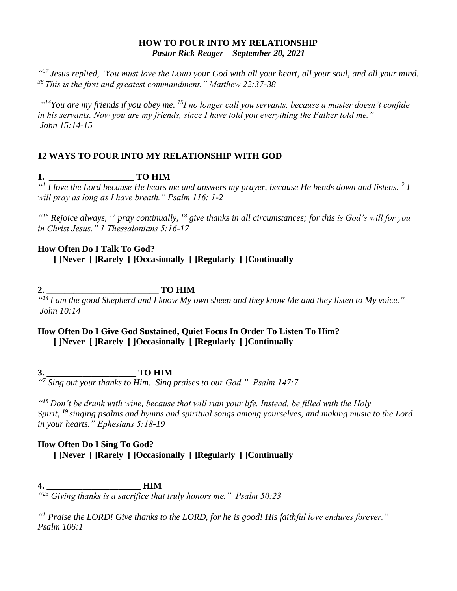#### **HOW TO POUR INTO MY RELATIONSHIP** *Pastor Rick Reager – September 20, 2021*

*" <sup>37</sup> Jesus replied, 'You must love the LORD your God with all your heart, all your soul, and all your mind. <sup>38</sup> This is the first and greatest commandment." Matthew 22:37-38*

*" <sup>14</sup>You are my friends if you obey me. <sup>15</sup>I no longer call you servants, because a master doesn't confide in his servants. Now you are my friends, since I have told you everything the Father told me." John 15:14-15*

## **12 WAYS TO POUR INTO MY RELATIONSHIP WITH GOD**

# **1. \_\_\_\_\_\_\_\_\_\_\_\_\_\_\_\_\_\_\_ TO HIM**

*" 1 I love the Lord because He hears me and answers my prayer, because He bends down and listens. <sup>2</sup> I will pray as long as I have breath." Psalm 116: 1-2*

*" <sup>16</sup> Rejoice always, <sup>17</sup> pray continually, <sup>18</sup> give thanks in all circumstances; for this is God's will for you in Christ Jesus." 1 Thessalonians 5:16-17*

## **How Often Do I Talk To God?**

**[ ]Never [ ]Rarely [ ]Occasionally [ ]Regularly [ ]Continually**

**2. \_\_\_\_\_\_\_\_\_\_\_\_\_\_\_\_\_\_\_\_\_\_\_\_\_ TO HIM** 

*" <sup>14</sup>I am the good Shepherd and I know My own sheep and they know Me and they listen to My voice." John 10:14* 

# **How Often Do I Give God Sustained, Quiet Focus In Order To Listen To Him? [ ]Never [ ]Rarely [ ]Occasionally [ ]Regularly [ ]Continually**

**3. \_\_\_\_\_\_\_\_\_\_\_\_\_\_\_\_\_\_\_\_ TO HIM**

*" 7 Sing out your thanks to Him. Sing praises to our God." Psalm 147:7* 

*" <sup>18</sup> Don't be drunk with wine, because that will ruin your life. Instead, be filled with the Holy Spirit, <sup>19</sup> singing psalms and hymns and spiritual songs among yourselves, and making music to the Lord in your hearts." Ephesians 5:18-19*

## **How Often Do I Sing To God? [ ]Never [ ]Rarely [ ]Occasionally [ ]Regularly [ ]Continually**

**4. \_\_\_\_\_\_\_\_\_\_\_\_\_\_\_\_\_\_\_\_\_ HIM** *" <sup>23</sup> Giving thanks is a sacrifice that truly honors me." Psalm 50:23*

*" <sup>1</sup> Praise the LORD! Give thanks to the LORD, for he is good! His faithful love endures forever." Psalm 106:1*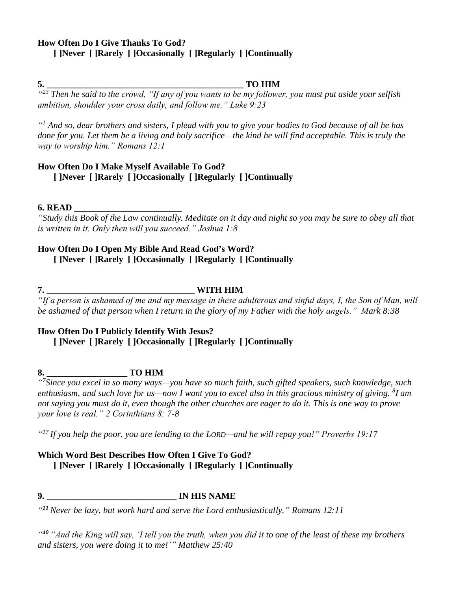#### **How Often Do I Give Thanks To God? [ ]Never [ ]Rarely [ ]Occasionally [ ]Regularly [ ]Continually**

#### **5. \_\_\_\_\_\_\_\_\_\_\_\_\_\_\_\_\_\_\_\_\_\_\_\_\_\_\_\_\_\_\_\_\_\_\_\_\_\_\_\_\_\_\_\_ TO HIM**

*" <sup>23</sup> Then he said to the crowd, "If any of you wants to be my follower, you must put aside your selfish ambition, shoulder your cross daily, and follow me." Luke 9:23*

*" <sup>1</sup> And so, dear brothers and sisters, I plead with you to give your bodies to God because of all he has done for you. Let them be a living and holy sacrifice—the kind he will find acceptable. This is truly the way to worship him." Romans 12:1*

## **How Often Do I Make Myself Available To God? [ ]Never [ ]Rarely [ ]Occasionally [ ]Regularly [ ]Continually**

#### **6. READ \_\_\_\_\_\_\_\_\_\_\_\_\_\_\_\_\_\_\_\_\_\_\_\_**

*"Study this Book of the Law continually. Meditate on it day and night so you may be sure to obey all that is written in it. Only then will you succeed." Joshua 1:8*

#### **How Often Do I Open My Bible And Read God's Word?**

**[ ]Never [ ]Rarely [ ]Occasionally [ ]Regularly [ ]Continually**

**7. \_\_\_\_\_\_\_\_\_\_\_\_\_\_\_\_\_\_\_\_\_\_\_\_\_\_\_\_\_\_\_\_\_ WITH HIM**

*"If a person is ashamed of me and my message in these adulterous and sinful days, I, the Son of Man, will be ashamed of that person when I return in the glory of my Father with the holy angels." Mark 8:38* 

#### **How Often Do I Publicly Identify With Jesus?**

**[ ]Never [ ]Rarely [ ]Occasionally [ ]Regularly [ ]Continually**

**8. \_\_\_\_\_\_\_\_\_\_\_\_\_\_\_\_\_\_ TO HIM** 

*" 7 Since you excel in so many ways—you have so much faith, such gifted speakers, such knowledge, such enthusiasm, and such love for us—now I want you to excel also in this gracious ministry of giving. <sup>8</sup> I am not saying you must do it, even though the other churches are eager to do it. This is one way to prove your love is real." 2 Corinthians 8: 7-8* 

*" <sup>17</sup>If you help the poor, you are lending to the LORD—and he will repay you!" Proverbs 19:17*

## **Which Word Best Describes How Often I Give To God? [ ]Never [ ]Rarely [ ]Occasionally [ ]Regularly [ ]Continually**

**9. \_\_\_\_\_\_\_\_\_\_\_\_\_\_\_\_\_\_\_\_\_\_\_\_\_\_\_\_\_ IN HIS NAME** 

*" <sup>11</sup> Never be lazy, but work hard and serve the Lord enthusiastically." Romans 12:11* 

*" <sup>40</sup> "And the King will say, 'I tell you the truth, when you did it to one of the least of these my brothers and sisters, you were doing it to me!'" Matthew 25:40*